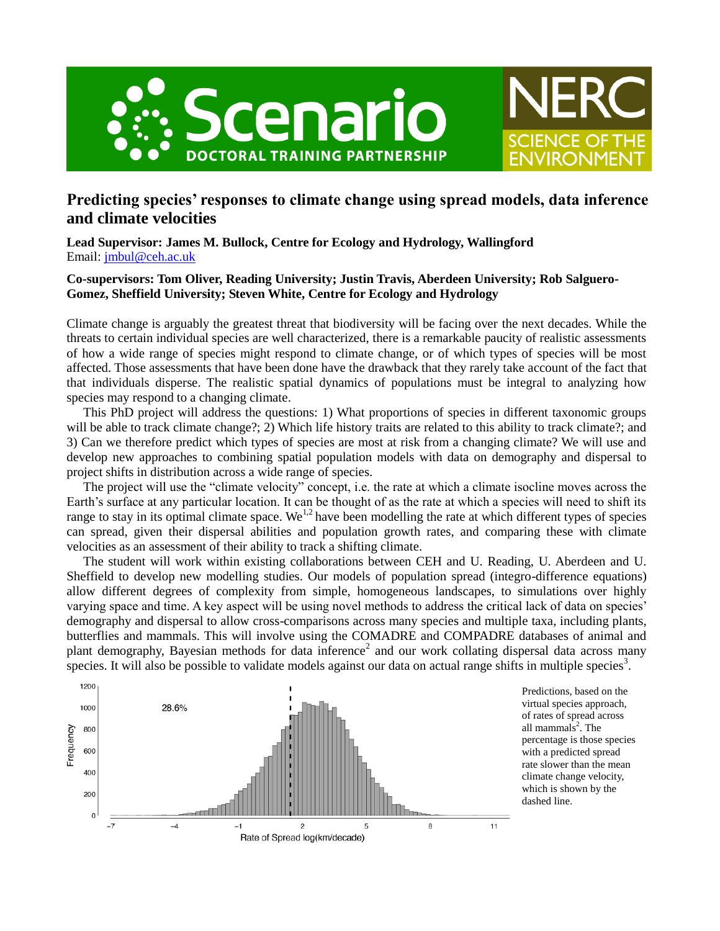



**Lead Supervisor: James M. Bullock, Centre for Ecology and Hydrology, Wallingford** Email: [jmbul@ceh.ac.uk](mailto:jmbul@ceh.ac.uk)

## **Co-supervisors: Tom Oliver, Reading University; Justin Travis, Aberdeen University; Rob Salguero-Gomez, Sheffield University; Steven White, Centre for Ecology and Hydrology**

Climate change is arguably the greatest threat that biodiversity will be facing over the next decades. While the threats to certain individual species are well characterized, there is a remarkable paucity of realistic assessments of how a wide range of species might respond to climate change, or of which types of species will be most affected. Those assessments that have been done have the drawback that they rarely take account of the fact that that individuals disperse. The realistic spatial dynamics of populations must be integral to analyzing how species may respond to a changing climate.

This PhD project will address the questions: 1) What proportions of species in different taxonomic groups will be able to track climate change?; 2) Which life history traits are related to this ability to track climate?; and 3) Can we therefore predict which types of species are most at risk from a changing climate? We will use and develop new approaches to combining spatial population models with data on demography and dispersal to project shifts in distribution across a wide range of species.

The project will use the "climate velocity" concept, i.e. the rate at which a climate isocline moves across the Earth's surface at any particular location. It can be thought of as the rate at which a species will need to shift its range to stay in its optimal climate space. We<sup>1,2</sup> have been modelling the rate at which different types of species can spread, given their dispersal abilities and population growth rates, and comparing these with climate velocities as an assessment of their ability to track a shifting climate.

The student will work within existing collaborations between CEH and U. Reading, U. Aberdeen and U. Sheffield to develop new modelling studies. Our models of population spread (integro-difference equations) allow different degrees of complexity from simple, homogeneous landscapes, to simulations over highly varying space and time. A key aspect will be using novel methods to address the critical lack of data on species' demography and dispersal to allow cross-comparisons across many species and multiple taxa, including plants, butterflies and mammals. This will involve using the COMADRE and COMPADRE databases of animal and plant demography, Bayesian methods for data inference<sup>2</sup> and our work collating dispersal data across many species. It will also be possible to validate models against our data on actual range shifts in multiple species<sup>3</sup>.



Predictions, based on the virtual species approach, of rates of spread across all mammals 2 . The percentage is those species with a predicted spread rate slower than the mean climate change velocity, which is shown by the dashed line.